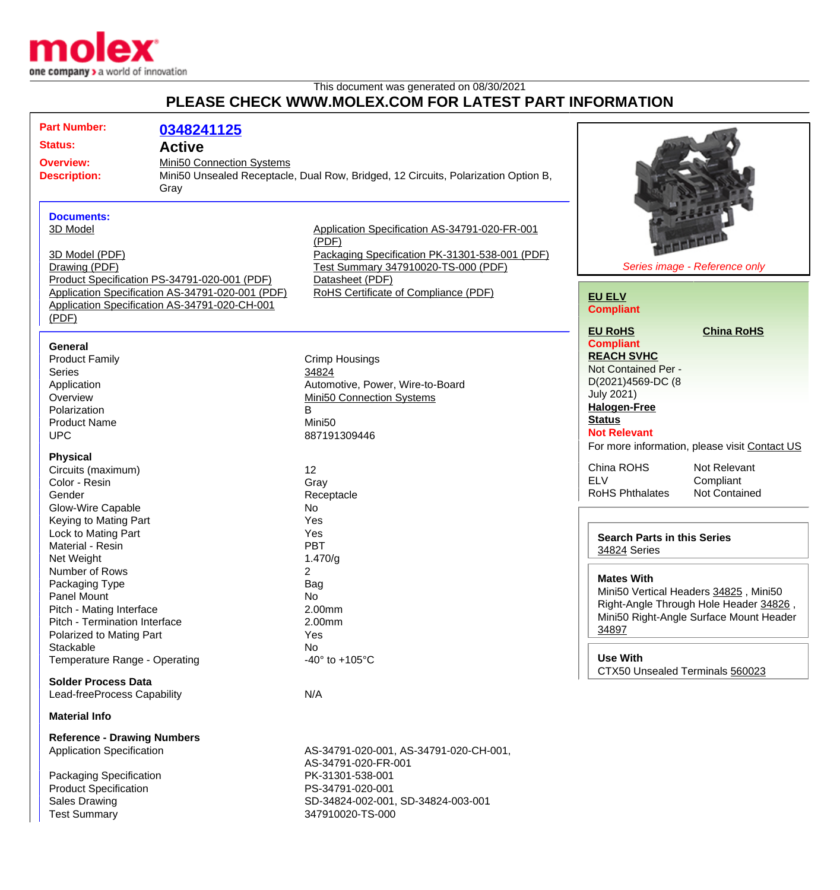

## This document was generated on 08/30/2021 **PLEASE CHECK WWW.MOLEX.COM FOR LATEST PART INFORMATION**

| <b>Part Number:</b><br>0348241125<br><b>Status:</b><br><b>Active</b><br>Mini50 Connection Systems<br><b>Overview:</b><br><b>Description:</b><br>Gray<br><b>Documents:</b><br>3D Model<br>3D Model (PDF)<br>Drawing (PDF) |                                                                          | Mini50 Unsealed Receptacle, Dual Row, Bridged, 12 Circuits, Polarization Option B,<br>Application Specification AS-34791-020-FR-001<br>(PDF)<br>Packaging Specification PK-31301-538-001 (PDF)<br>Test Summary 347910020-TS-000 (PDF) |                                                                                                                                                                                         | Series image - Reference only                                                                                              |  |
|--------------------------------------------------------------------------------------------------------------------------------------------------------------------------------------------------------------------------|--------------------------------------------------------------------------|---------------------------------------------------------------------------------------------------------------------------------------------------------------------------------------------------------------------------------------|-----------------------------------------------------------------------------------------------------------------------------------------------------------------------------------------|----------------------------------------------------------------------------------------------------------------------------|--|
| Product Specification PS-34791-020-001 (PDF)<br>Application Specification AS-34791-020-001 (PDF)<br>Application Specification AS-34791-020-CH-001<br>(PDF)                                                               |                                                                          | Datasheet (PDF)<br>RoHS Certificate of Compliance (PDF)                                                                                                                                                                               | <b>EU ELV</b><br><b>Compliant</b>                                                                                                                                                       |                                                                                                                            |  |
| General<br><b>Product Family</b><br><b>Series</b><br>Application<br>Overview<br>Polarization<br><b>Product Name</b><br><b>UPC</b>                                                                                        | 34824<br>В<br>Mini <sub>50</sub>                                         | Crimp Housings<br>Automotive, Power, Wire-to-Board<br><b>Mini50 Connection Systems</b><br>887191309446                                                                                                                                | <b>EU RoHS</b><br><b>Compliant</b><br><b>REACH SVHC</b><br>Not Contained Per -<br>D(2021)4569-DC (8<br><b>July 2021)</b><br><b>Halogen-Free</b><br><b>Status</b><br><b>Not Relevant</b> | <b>China RoHS</b><br>For more information, please visit Contact US                                                         |  |
| <b>Physical</b><br>Circuits (maximum)<br>Color - Resin<br>Gender<br>Glow-Wire Capable<br>Keying to Mating Part<br>Lock to Mating Part<br>Material - Resin                                                                | 12<br>Gray<br>Receptacle<br>No<br>Yes<br>Yes<br><b>PBT</b>               |                                                                                                                                                                                                                                       | China ROHS<br><b>ELV</b><br><b>RoHS Phthalates</b><br><b>Search Parts in this Series</b>                                                                                                | Not Relevant<br>Compliant<br><b>Not Contained</b>                                                                          |  |
| Net Weight<br>Number of Rows<br>Packaging Type<br>Panel Mount<br>Pitch - Mating Interface<br>Pitch - Termination Interface<br>Polarized to Mating Part<br>Stackable                                                      | 1.470/g<br>$\overline{2}$<br>Bag<br>No.<br>2.00mm<br>2.00mm<br>Yes<br>No |                                                                                                                                                                                                                                       | 34824 Series<br><b>Mates With</b><br>34897                                                                                                                                              | Mini50 Vertical Headers 34825, Mini50<br>Right-Angle Through Hole Header 34826,<br>Mini50 Right-Angle Surface Mount Header |  |
| Temperature Range - Operating<br><b>Solder Process Data</b><br>Lead-freeProcess Capability                                                                                                                               | N/A                                                                      | -40 $\degree$ to +105 $\degree$ C                                                                                                                                                                                                     | <b>Use With</b>                                                                                                                                                                         | CTX50 Unsealed Terminals 560023                                                                                            |  |
| <b>Material Info</b><br><b>Reference - Drawing Numbers</b><br><b>Application Specification</b><br>Packaging Specification<br><b>Product Specification</b><br><b>Sales Drawing</b><br><b>Test Summary</b>                 |                                                                          | AS-34791-020-001, AS-34791-020-CH-001,<br>AS-34791-020-FR-001<br>PK-31301-538-001<br>PS-34791-020-001<br>SD-34824-002-001, SD-34824-003-001<br>347910020-TS-000                                                                       |                                                                                                                                                                                         |                                                                                                                            |  |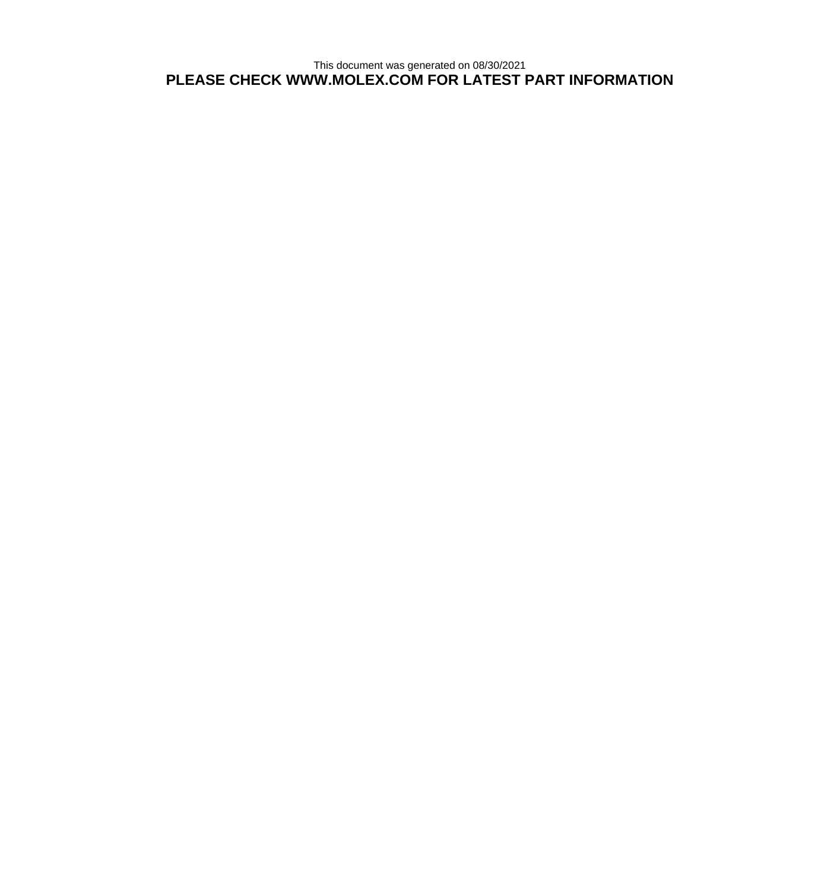This document was generated on 08/30/2021 **PLEASE CHECK WWW.MOLEX.COM FOR LATEST PART INFORMATION**